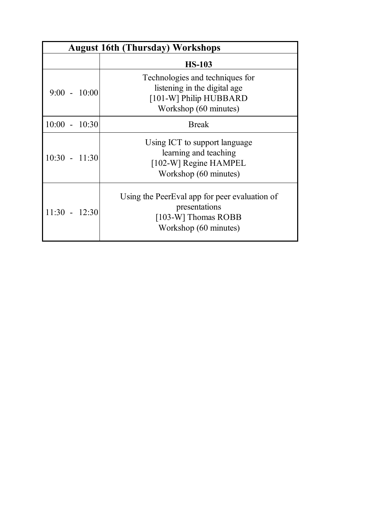| <b>August 16th (Thursday) Workshops</b> |                                                                                                                     |  |  |  |  |  |  |
|-----------------------------------------|---------------------------------------------------------------------------------------------------------------------|--|--|--|--|--|--|
|                                         | $HS-103$                                                                                                            |  |  |  |  |  |  |
| $9:00 - 10:00$                          | Technologies and techniques for<br>listening in the digital age.<br>[101-W] Philip HUBBARD<br>Workshop (60 minutes) |  |  |  |  |  |  |
| $10:00 - 10:30$                         | <b>Break</b>                                                                                                        |  |  |  |  |  |  |
| $10:30 - 11:30$                         | Using ICT to support language<br>learning and teaching<br>$[102-W]$ Regine HAMPEL<br>Workshop (60 minutes)          |  |  |  |  |  |  |
| $11:30 - 12:30$                         | Using the PeerEval app for peer evaluation of<br>presentations<br>[103-W] Thomas ROBB<br>Workshop (60 minutes)      |  |  |  |  |  |  |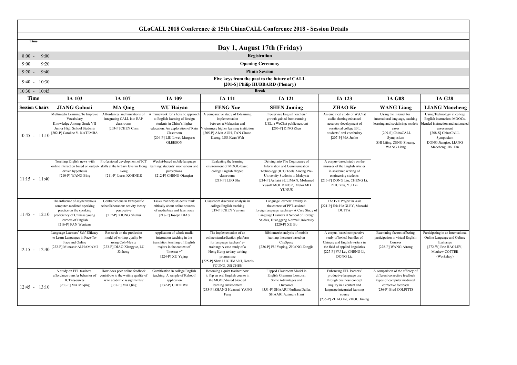| GLoCALL 2018 Conference & 15th ChinaCALL Conference 2018 - Session Details |                |                                                                                                                                                                       |                                                                                                                         |                                                                                                                                                                                                       |                                                                                                                                                                                                                          |                                                                                                                                                                                                                          |                                                                                                                                                                                      |                                                                                                                                                                                            |                                                                                                                                                                                              |  |  |  |
|----------------------------------------------------------------------------|----------------|-----------------------------------------------------------------------------------------------------------------------------------------------------------------------|-------------------------------------------------------------------------------------------------------------------------|-------------------------------------------------------------------------------------------------------------------------------------------------------------------------------------------------------|--------------------------------------------------------------------------------------------------------------------------------------------------------------------------------------------------------------------------|--------------------------------------------------------------------------------------------------------------------------------------------------------------------------------------------------------------------------|--------------------------------------------------------------------------------------------------------------------------------------------------------------------------------------|--------------------------------------------------------------------------------------------------------------------------------------------------------------------------------------------|----------------------------------------------------------------------------------------------------------------------------------------------------------------------------------------------|--|--|--|
|                                                                            |                |                                                                                                                                                                       |                                                                                                                         |                                                                                                                                                                                                       |                                                                                                                                                                                                                          |                                                                                                                                                                                                                          |                                                                                                                                                                                      |                                                                                                                                                                                            |                                                                                                                                                                                              |  |  |  |
| Time                                                                       |                | Day 1, August 17th (Friday)                                                                                                                                           |                                                                                                                         |                                                                                                                                                                                                       |                                                                                                                                                                                                                          |                                                                                                                                                                                                                          |                                                                                                                                                                                      |                                                                                                                                                                                            |                                                                                                                                                                                              |  |  |  |
| $8:00 -$                                                                   | 9:00           | Registration                                                                                                                                                          |                                                                                                                         |                                                                                                                                                                                                       |                                                                                                                                                                                                                          |                                                                                                                                                                                                                          |                                                                                                                                                                                      |                                                                                                                                                                                            |                                                                                                                                                                                              |  |  |  |
| 9:00                                                                       | 9:20           | <b>Opening Ceremony</b>                                                                                                                                               |                                                                                                                         |                                                                                                                                                                                                       |                                                                                                                                                                                                                          |                                                                                                                                                                                                                          |                                                                                                                                                                                      |                                                                                                                                                                                            |                                                                                                                                                                                              |  |  |  |
| $9:20 -$                                                                   | 9:40           | <b>Photo Session</b>                                                                                                                                                  |                                                                                                                         |                                                                                                                                                                                                       |                                                                                                                                                                                                                          |                                                                                                                                                                                                                          |                                                                                                                                                                                      |                                                                                                                                                                                            |                                                                                                                                                                                              |  |  |  |
|                                                                            | $9:40 - 10:30$ |                                                                                                                                                                       |                                                                                                                         |                                                                                                                                                                                                       |                                                                                                                                                                                                                          | Five keys from the past to the future of CALL<br>[201-S] Philip HUBBARD (Plenary)                                                                                                                                        |                                                                                                                                                                                      |                                                                                                                                                                                            |                                                                                                                                                                                              |  |  |  |
| $10:30 - 10:45$                                                            |                |                                                                                                                                                                       |                                                                                                                         |                                                                                                                                                                                                       |                                                                                                                                                                                                                          | <b>Break</b>                                                                                                                                                                                                             |                                                                                                                                                                                      |                                                                                                                                                                                            |                                                                                                                                                                                              |  |  |  |
| Time                                                                       |                | <b>IA 103</b>                                                                                                                                                         | <b>IA 107</b>                                                                                                           | <b>IA 109</b>                                                                                                                                                                                         | <b>IA 111</b>                                                                                                                                                                                                            | <b>IA 121</b>                                                                                                                                                                                                            | <b>IA 123</b>                                                                                                                                                                        | <b>IA G08</b>                                                                                                                                                                              | <b>IA G28</b>                                                                                                                                                                                |  |  |  |
| <b>Session Chairs</b>                                                      |                | <b>JIANG Guhuai</b>                                                                                                                                                   | <b>MA Oing</b>                                                                                                          | <b>WU Haivan</b>                                                                                                                                                                                      | <b>FENG Xue</b>                                                                                                                                                                                                          | <b>SHEN Juming</b>                                                                                                                                                                                                       | <b>ZHAO Ke</b>                                                                                                                                                                       | <b>WANG Liang</b>                                                                                                                                                                          | <b>LIANG Maocheng</b>                                                                                                                                                                        |  |  |  |
| $10:45 - 11:10$                                                            |                | Multimedia Learning To Improve<br>Vocabulary<br>Knowledge Among Grade VII<br>Junior High School Students<br>[202-P] Caroline V. KATEMBA                               | Affordances and limitations of<br>integrating CALL into EAP<br>classrooms<br>[203-P] CHEN Chen                          | A framework for a holistic approac<br>to English learning of foreign<br>students in China's higher<br>education: An exploration of Rain<br>Classroom<br>[204-P] LIU Liwei, Margaret<br><b>GLEESON</b> | A comparative study of E-learning<br>implementation<br>between a Malaysian and<br>Vietnamese higher learning institution<br>[205-P] Alvin AUH, TAN Choon<br>Keong, LEE Kean Wah                                          | Pre-service English teachers'<br>growth gained from running<br>UEL, a WeChat public account<br>[206-P] DING Zhen                                                                                                         | An empirical study of WeChat<br>audio chatting enhanced<br>accuracy development of<br>vocational college EFL<br>students' oral vocabulary<br>$[207-P] MA$ Junbo                      | Using the Internet for<br>intercultural language, teaching<br>learning and socialising: models<br>cases<br>[209-S] ChinaCALL<br>Symposium<br>SHI Lijing, ZENG Shuang,<br><b>WANG</b> Liang | Using Technology in college<br>English instruction: MOOCs.<br>blended instruction and automated<br>assessment<br>[208-S] ChinaCALL<br>Symposium<br>DONG Jiangiao, LIANG<br>Maocheng, JIN Tan |  |  |  |
| $11:15 - 11:40$                                                            |                | Teaching English news with<br>online interaction based on output<br>driven hypothesis<br>[210-P] WANG Bing                                                            | Professional development of ICT<br>skills at the tertiary level in Hong<br>Kong<br>[211-P] Lucas KOHNKE                 | Wechat-based mobile language<br>learning: students' motivations and<br>perceptions<br>[212-P] CHENG Qianqian                                                                                          | Evaluating the learning<br>environment of MOOC-based<br>college English flipped<br>classrooms<br>$[213-P]$ LUO Sha                                                                                                       | Delving into The Cognizance of<br>Information and Communication<br>Technology (ICT) Tools Among Pre-<br>University Students in Malaysia<br>[214-P] Ashairi SULIMAN, Mohamed<br>Yusoff MOHD NOR, Melor MD<br><b>YUNUS</b> | A corpus-based study on the<br>misuses of the English articles<br>in academic writing of<br>engineering students<br>[215-P] DONG Liu, CHENG Li,<br>ZHU Zhu, YU Lei                   |                                                                                                                                                                                            |                                                                                                                                                                                              |  |  |  |
| $11:45 - 12:10$                                                            |                | The influence of asynchronous<br>computer-mediated speaking<br>practice on the speaking<br>proficiency of Chinese young<br>learners of English<br>[216-P] FAN Wenjuan | Contradictions in transpacific<br>telecollaboration: activity theory<br>perspective<br>[217-P] XIONG Shuhui             | Tasks that help students think<br>critically about online sources<br>of media bias and fake news<br>[218-P] Joseph DIAS                                                                               | Classroom discourse analysis in<br>college English teaching<br>[219-P] CHEN Yunyun                                                                                                                                       | Language learners' anxiety in<br>the context of PPT-assisted<br>foreign language teaching-A Case Study of<br>Language Learners at School of Foreign<br>Studies, Huanggang Normal University<br>$[220-P]$ XU Bo           | The IVE Project in Asia<br>[221-P] Eric HAGLEY, Manashi<br><b>DUTTA</b>                                                                                                              |                                                                                                                                                                                            |                                                                                                                                                                                              |  |  |  |
| $12:15 - 12:40$                                                            |                | Language Learners' Self-Efficacy<br>to Learn Languages in Face-To-<br>Face and Online<br>[222-P] Munassir ALHAMAMI                                                    | Research on the prediction<br>model of writing quality by<br>using Coh-Metrix<br>[223-P] DIAO Xiangyue, LU<br>Zhihong   | Application of whole media<br>integration teaching in the<br>translation teaching of English<br>majors in the context of<br>$\text{'}\text{Internet} + \text{''}$<br>[224-P] XU Yajing                | The implementation of an<br>online standardization platform<br>for language teachers' e-<br>training: A case study of a<br>Hong Kong tertiary writing<br>programme<br>[225-P] Shari LUGHMANI, Dennis<br>FOUNG, Zili CHEN | Bibliometric analysis of mobile<br>learning literature based on<br>CiteSpace<br>[226-P] FU Yuping, ZHANG Zongjie                                                                                                         | A corpus-based comparative<br>study of lexical bundles of<br>Chinese and English writers in<br>the field of applied linguistics<br>[227-P] YU Lei, CHENG Li,<br><b>DONG Liu</b>      | Examining factors affecting<br>participation in virtual English<br>Courses<br>[228-P] WANG Airong                                                                                          | Participating in an International<br>Online Language and Culture<br>Exchange<br>[272-W] Eric HAGLEY,<br>Matthew COTTER<br>(Workshop)                                                         |  |  |  |
| $12:45 - 13:10$                                                            |                | A study on EFL teachers'<br>affordance transfer behavior of<br>ICT resources<br>$[230-P] MA M$ uqing                                                                  | How does peer online feedback<br>contribute to the writing quality o<br>wiki academic assignments?<br>$[337-P] MA Qing$ | Gamification in college English<br>teaching: A sample of Kahoot!<br>application<br>[232-P] CHEN Wei                                                                                                   | Becoming a quiet teacher: how<br>to flip an oral English course in<br>the MOOC-based blended<br>learning environment<br>[233-P] ZHANG Huanrui, YANG<br>Fang                                                              | Flipped Classroom Model in<br>English Grammar Lessons:<br>Some Advantages and<br>Outcomes<br>[351-P] SHAARI Nurliana Dalila,<br>SHAARI Azianura Hani                                                                     | Enhancing EFL learners'<br>productive language use<br>through business concept<br>inquiry in a content and<br>language integrated learning<br>course<br>[235-P] ZHAO Ke, ZHOU Jiming | A comparison of the efficacy of<br>different corrective feedback<br>types of computer mediated<br>corrective feedback<br>[236-P] Brad COLPITTS                                             |                                                                                                                                                                                              |  |  |  |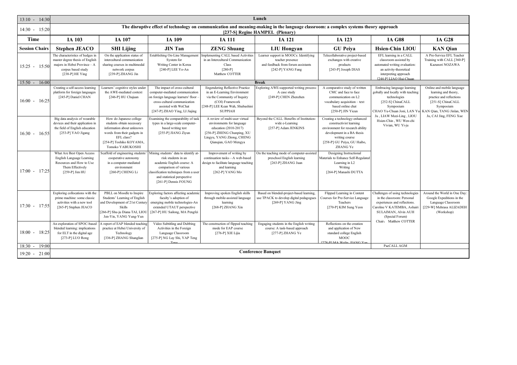| $13:10 - 14:30$       |       | Lunch                                                                                                                                                                   |                                                                                                                                                                               |                                                                                                                                                                                                                     |                                                                                                                                                                                 |                                                                                                                      |                                                                                                                                                                                          |                                                                                                                                                                                                  |                                                                                                                                                                                                      |  |  |
|-----------------------|-------|-------------------------------------------------------------------------------------------------------------------------------------------------------------------------|-------------------------------------------------------------------------------------------------------------------------------------------------------------------------------|---------------------------------------------------------------------------------------------------------------------------------------------------------------------------------------------------------------------|---------------------------------------------------------------------------------------------------------------------------------------------------------------------------------|----------------------------------------------------------------------------------------------------------------------|------------------------------------------------------------------------------------------------------------------------------------------------------------------------------------------|--------------------------------------------------------------------------------------------------------------------------------------------------------------------------------------------------|------------------------------------------------------------------------------------------------------------------------------------------------------------------------------------------------------|--|--|
| 14:30 - 15:20         |       | The disruptive effect of technology on communication and meaning-making in the language classroom: a complex systems theory approach<br>[237-S] Regine HAMPEL (Plenary) |                                                                                                                                                                               |                                                                                                                                                                                                                     |                                                                                                                                                                                 |                                                                                                                      |                                                                                                                                                                                          |                                                                                                                                                                                                  |                                                                                                                                                                                                      |  |  |
| <b>Time</b>           |       | <b>IA 103</b>                                                                                                                                                           | <b>IA 107</b>                                                                                                                                                                 | <b>IA 109</b>                                                                                                                                                                                                       | <b>IA 111</b>                                                                                                                                                                   | <b>IA 121</b>                                                                                                        | IA 123                                                                                                                                                                                   | <b>IA G08</b>                                                                                                                                                                                    | <b>IA G28</b>                                                                                                                                                                                        |  |  |
| <b>Session Chairs</b> |       | <b>Stephen JEACO</b>                                                                                                                                                    | <b>SHI Lijing</b>                                                                                                                                                             | <b>JIN</b> Tan                                                                                                                                                                                                      | <b>ZENG Shuang</b>                                                                                                                                                              | <b>LIU Hongyan</b>                                                                                                   | <b>GU Peiva</b>                                                                                                                                                                          | <b>Hsien-Chin LIOU</b>                                                                                                                                                                           | <b>KAN</b> Qian                                                                                                                                                                                      |  |  |
| $15:25 - 15:50$       |       | The characteristics of hedges in<br>master degree thesis of English<br>majors in Hebei Province - A<br>corpus based study<br>[238-P] HE Ying                            | On the application status of<br>intercultural communication<br>sharing courses in multimodal<br>network corpus<br>[239-P] ZHANG Jin                                           | Establishing On-Line Management<br>System for<br>Writing Center in Korea<br>[240-P] LEE Yo-An                                                                                                                       | Implementing CALL based Activities<br>in an Intercultural Communication<br>Class<br>$[280-P]$<br>Matthew COTTER                                                                 | Learner support in MOOCs: Identifying<br>teacher presence<br>and feedback from forum assistants<br>[242-P] YANG Fang | Telecollaborative project-based<br>exchanges with creative<br>products<br>[243-P] Joseph DIAS                                                                                            | EFL learning in a CALL<br>classroom assisted by<br>automated writing evaluation:<br>an activity-theoretical<br>interpreting approach<br>[244-P] LIAO Hui-Chuan                                   | A Pre-Service EFL Teacher<br>Training with CALL [360-P]<br>Kazunori NOZAWA                                                                                                                           |  |  |
| $15:50 -$             | 16:00 |                                                                                                                                                                         |                                                                                                                                                                               |                                                                                                                                                                                                                     |                                                                                                                                                                                 | <b>Break</b>                                                                                                         |                                                                                                                                                                                          |                                                                                                                                                                                                  |                                                                                                                                                                                                      |  |  |
| $16:00 - 16:25$       |       | Creating a self-access learning<br>platform for foreign languages<br>[245-P] Daniel CHAN                                                                                | earners' cognitive styles under<br>the AWE-mediated context<br>[246-P] HU Chajuan                                                                                             | The impact of cross-cultural<br>computer-mediated communication<br>on foreign language learners' floor<br>cross-cultural communication<br>assisted with WeChat<br>[247-P] ZHAO Ying, LI Jiajing                     | <b>Engendering Reflective Practice</b><br>in an E-Learning Environment<br>via the Community of Inquiry<br>(COI) Framework<br>[248-P] LEE Kean Wah, Shubashini<br><b>SUPPIAH</b> | Exploring AWE-supported writing process<br>A case study<br>[249-P] CHEN Zhenzhen                                     | A comparative study of written<br>CMC and face to face<br>communication on L2<br>vocabulary acquisition - text<br>based online chat<br>$[250-P]$ JIN Yicun                               | Embracing language learning<br>gobally and locally with teaching<br>technologies<br>[252-S] ChinaCALL<br>Symposium                                                                               | Online and mobile language<br>learning and theory,<br>practice and reflections<br>[251-S] ChinaCALL<br>Symposium<br>CHAO Yu-Chuan Joni, LAN Yu- KAN Qian, TANG Jinlan, WEN<br>Ju, CAI Jing, FENG Xue |  |  |
| $16:30 - 16:55$       |       | Big data analysis of wearable<br>devices and their application in<br>the field of English education<br>[253-P] YAO Jigang                                               | How do Japanese college<br>students obtain necessary<br>information about unknown<br>words from their gadgets in<br>EFL class?<br>[254-P] Toshiko KOYAMA,<br>Tomoko YABUKOSHI | Examining the comparability of task<br>types in a large-scale computer-<br>based writing test<br>[255-P] JIANG Ziyun                                                                                                | A review of multi-user virtual<br>environments for language<br>education (2010-2017)<br>[256-P] ZHENG Chunping, XU<br>Lingyu, YANG Zitong, CHENG<br>Qianqian, GAO Mengya        | Beyond the CALL: Benefits of Institution-<br>wide e-Learning<br>[257-P] Adam JENKINS                                 | Creating a technology-enhanced<br>constructivist learning<br>environment for research ability<br>development in a BA thesis<br>writing course<br>[258-P] GU Peiya, GU Haibo,<br>ZHANG Ye | Ju, LIAW Meei-Ling, LIOU<br>Hsien-Chin, WU Wen-chi<br>Vivian, WU Yi-ju                                                                                                                           |                                                                                                                                                                                                      |  |  |
| $17:00 - 17:25$       |       | What Are Best Open Access<br>English Language Learning<br>Resources and How to Use<br>Them Effectively<br>$[259-P]$ Jim HU                                              | Scaffold of engineering students<br>cooperative autonomy<br>in a computer-mediated<br>environment<br>[260-P] CHENG Li                                                         | Mining students' data to identify at-<br>risk students in an<br>academic English course: A<br>comparison of various<br>classification techniques from a user<br>and statistical perspective<br>[261-P] Dennis FOUNG | Improvement of writing by<br>continuation tasks-A web-based<br>design to facilitate language teaching<br>and learning<br>$[262-P]$ YANG Mo                                      | On the teaching mode of computer-assisted<br>preschool English learning<br>[263-P] ZHANG Juan                        | Designing Instructional<br>Materials to Enhance Self-Regulated<br>Learning in L2<br>Writing<br>[264-P] Manashi DUTTA                                                                     |                                                                                                                                                                                                  |                                                                                                                                                                                                      |  |  |
| $17:30 - 17:55$       |       | Exploring collocations with the<br>prime machine: some classic<br>activities with a new tool<br>[265-P] Stephen JEACO                                                   | PBLL on Moodle to Inspire<br>Students' Learning of English<br>and Development of 21st Century<br><b>Skills</b><br>[266-P] Shu-ju Diana TAI, LIOI<br>Jen-Yin, YANG Yung-Yun    | Exploring factors affecting academi<br>faculty's adoption of<br>emerging mobile technologies-An<br>extended UTAUT perspective<br>[267-P] HU Sailong, MA Pengfei                                                     | Improving spoken English skills<br>through mobile-assisted language<br>learning<br>[268-P] ZHANG Xin                                                                            | Based on blended-project-based learning,<br>use TPACK to develop digital pedagogues<br>$[269-P]$ YANG Jing           | Flipped Learning in Content<br>Courses for Pre-Service Language<br>Teachers<br>[270-P] KIM Sung Yeon                                                                                     | Challenges of using technologies<br>in the classroom: Personal<br>experiences and reflections.<br>Caroline V KATEMBA, Ashairi<br>SULAIMAN, Alvin AUH<br>(Special Forum)<br>Chair; Matthew COTTER | Around the World in One Day:<br>Google Expeditions in the<br>Language Classroom<br>[229-W] Mehrasa ALIZADEH<br>(Workshop)                                                                            |  |  |
| 18:00 - 18:25         |       | An exploration of SPOC-based<br>blended learning: implications<br>for ELT in the digital age<br>[273-P] LUO Rong                                                        | I report of EAP blended teaching<br>practice at Hebei University of<br>Technology<br>[336-P] ZHANG Shanglian                                                                  | Video Subtitling and Dubbing<br>Activities in the Foreign<br>Language Classroom<br>[275-P] NG Lay Shi, YAP Teng<br>Tone                                                                                             | The construction of flipped teaching<br>mode for EAP course<br>[276-P] XIE Lijia                                                                                                | Engaging students in the English writing<br>course: A task-based approach<br>$[277-P]$ ZHANG Ye                      | Reflections on the creation<br>and application of New<br>standard college English<br><b>MOOC</b><br>[278-D] MA Wulin, HANG Var                                                           |                                                                                                                                                                                                  |                                                                                                                                                                                                      |  |  |
| $18:30 -$             | 19:00 |                                                                                                                                                                         |                                                                                                                                                                               |                                                                                                                                                                                                                     |                                                                                                                                                                                 |                                                                                                                      |                                                                                                                                                                                          | PacCALL AGM                                                                                                                                                                                      |                                                                                                                                                                                                      |  |  |
| $19:20 - 21:00$       |       | <b>Conference Banquet</b>                                                                                                                                               |                                                                                                                                                                               |                                                                                                                                                                                                                     |                                                                                                                                                                                 |                                                                                                                      |                                                                                                                                                                                          |                                                                                                                                                                                                  |                                                                                                                                                                                                      |  |  |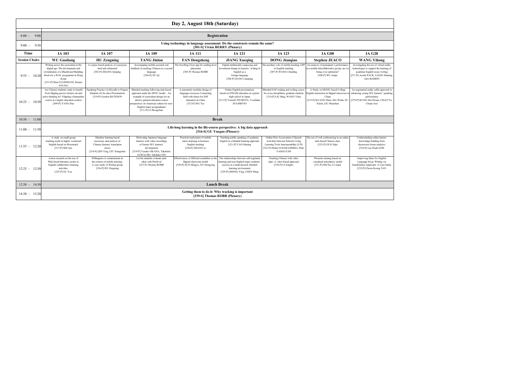|                       | Day 2, August 18th (Saturday)                                                                                                                                                                                      |                                                                                                                                  |                                                                                                                                                                                                                                                            |                                                                                                                                      |                                                                                                                                                                                    |                                                                                                                                                               |                                                                                                                                                  |                                                                                                                                                                             |  |  |  |
|-----------------------|--------------------------------------------------------------------------------------------------------------------------------------------------------------------------------------------------------------------|----------------------------------------------------------------------------------------------------------------------------------|------------------------------------------------------------------------------------------------------------------------------------------------------------------------------------------------------------------------------------------------------------|--------------------------------------------------------------------------------------------------------------------------------------|------------------------------------------------------------------------------------------------------------------------------------------------------------------------------------|---------------------------------------------------------------------------------------------------------------------------------------------------------------|--------------------------------------------------------------------------------------------------------------------------------------------------|-----------------------------------------------------------------------------------------------------------------------------------------------------------------------------|--|--|--|
| $8:00 - 9:00$         | Registration                                                                                                                                                                                                       |                                                                                                                                  |                                                                                                                                                                                                                                                            |                                                                                                                                      |                                                                                                                                                                                    |                                                                                                                                                               |                                                                                                                                                  |                                                                                                                                                                             |  |  |  |
| 9:50<br>$9:00 -$      | Using technology in language assessment: Do the constructs remain the same?<br>[301-S] Vivien BERRY (Plenary)                                                                                                      |                                                                                                                                  |                                                                                                                                                                                                                                                            |                                                                                                                                      |                                                                                                                                                                                    |                                                                                                                                                               |                                                                                                                                                  |                                                                                                                                                                             |  |  |  |
| Time                  | <b>IA 109</b><br><b>IA G08</b><br><b>IA 103</b><br><b>IA 107</b><br><b>IA 123</b><br><b>IA G28</b><br><b>IA 111</b><br><b>IA 121</b>                                                                               |                                                                                                                                  |                                                                                                                                                                                                                                                            |                                                                                                                                      |                                                                                                                                                                                    |                                                                                                                                                               |                                                                                                                                                  |                                                                                                                                                                             |  |  |  |
| <b>Session Chairs</b> | <b>WU Guoliang</b>                                                                                                                                                                                                 | <b>HU Zengning</b>                                                                                                               | <b>TANG Jinlan</b>                                                                                                                                                                                                                                         | <b>FAN Dongsheng</b>                                                                                                                 | <b>JIANG Xueging</b>                                                                                                                                                               | <b>DONG</b> Jiangiao                                                                                                                                          | <b>Stephen JEACO</b>                                                                                                                             | <b>WANG Yihong</b>                                                                                                                                                          |  |  |  |
| $9:55 - 10:20$        | Writing across the curriculum in the<br>digital age: The development and<br>revitalization of a Blackboard Building<br>block for a WAC programme in Hong<br>Kong<br>[231-P] Shari LUGHMANI. Dennis<br><b>FOUNG</b> | A corpus-based analysis of synonyms<br>tired and exhausted<br>[303-P] ZHANG Qiuping                                              | Investigating mobile-assisted oral<br>feedback in teaching Chinese as a second<br>language<br>[304-P] XU Qi                                                                                                                                                | The Scrolling Cloze app for reading level<br>placement<br>[305-P] Thomas ROBB                                                        | Digital multimodal composing and<br>investment change in learners' writing in<br>English as a<br>foreign language<br>[306-P] JIANG Lianjiang                                       | The auxiliary role of mobile teaching APP<br>in English teaching<br>[307-P] WANG Chunling                                                                     | An analysis of participant's performance<br>in a mobile telecollaborative group: are we<br>being over-optimistic?<br>[308-P] WU Junjie           | Investigating the use of virtual reality<br>technologies to support the learning of<br>academic English essay writing<br>[271-P] Austin PACK, LIANG Haining.<br>Alex BARRET |  |  |  |
| $10:25 - 10:50$       | Are Chinese students ready to benefit<br>from flipping passive lecture out and<br>active thinking in?-Flipping a humanities<br>course in a higher education context<br>[309-P] YANG Hao                            | Speaking Practice via Moodle to Prepare<br>Students for In-class Presentations<br>[310-P] Gordon BATESON                         | Blended teaching following task-based<br>approach under the SPOC model - An<br>example of curriculum design for an<br>elective general education course<br>perspectives on American culture for non<br>English major postgraduates<br>[311-P] LI Zhongshan | A parametric modular design of<br>language resources Connecting<br>field with future for ESP<br>education in China<br>[312-P] MA Tao | Online English presentations<br>based on STEAM education at a junior<br>high-school in Japan<br>[313-P] Yasushi TSUBOTA, Yoshitaka<br><b>SUGIMOTO</b>                              | Blended EAP reading and writing course<br>for cross-disciplinary graduate students<br>[314-P] LIU Bing, WANG Yikai                                            | A Study on MOOC-based College<br>nglish instruction in flipped classroom in<br>China<br>[315-P] KUANG Shen, MA Wulin, SU<br>Xiaoli. LIU Shanshan | An augmented reality selfie approach to<br>enhancing young EFL learners' speaking<br>performance<br>[279-P] KUNG Hui Hsuan, CHAO Yu-<br>Chuan Joni                          |  |  |  |
| $10:50 - 11:00$       |                                                                                                                                                                                                                    |                                                                                                                                  |                                                                                                                                                                                                                                                            | <b>Break</b>                                                                                                                         |                                                                                                                                                                                    |                                                                                                                                                               |                                                                                                                                                  |                                                                                                                                                                             |  |  |  |
| $11:00 - 11:50$       |                                                                                                                                                                                                                    |                                                                                                                                  |                                                                                                                                                                                                                                                            | Life-long learning in the life-course perspective: A big data approach<br>[316-S] GU Yueguo (Plenary)                                |                                                                                                                                                                                    |                                                                                                                                                               |                                                                                                                                                  |                                                                                                                                                                             |  |  |  |
| $11:55 - 12:20$       | A study on small-group<br>teaching mode in higher vocational<br>English based on Mosoteach<br>[317-P] SHI Jiao                                                                                                     | Machine learning based<br>taxonomy and analysis of<br>Chinese learners' translation<br>errors<br>[318-P] OIN Ying, LIU Xiangshen | Motivating Japanese language<br>learners with video recordings<br>of former EFL learners'<br>development<br>[319-P] Yasuko OKADA, Takafumi<br>SAWAUMI. Takehiko ITO                                                                                        | Practical exploration of mobile<br>micro-learning in business<br>English teaching<br>[320-P] ZHANG Li                                | Teaching public speaking of academic<br>English in a blended learning approach<br>[321-P] YAO Shuang                                                                               | Online Peer Assessment of Speech<br>Activities between Schools Using<br>Learning Tools Interoperability (LTI)<br>[322-P] Hideto D.HARASHIMA, Mari<br>YAMAUCHI | The use of web conferencing in an online<br>task-based Chinese class<br>[323-P] GUO Sijia                                                        | Understanding online learner<br>knowledge building from<br>discussion forum analytics<br>[324-P] Lay Huah GOH                                                               |  |  |  |
| $12:25 - 12:50$       | Action research on the use of<br>Wiki-based literature circles in<br>English collaborative learning<br>activities<br>[325-P] SU You                                                                                | Willingness to communicate in<br>the context of mobile learning:<br>A case study of Wechat group<br>[326-P] HU Zengning          | Let the students evaluate each<br>other with PeerEval<br>[327-P] Thomas ROBB                                                                                                                                                                               | Effectiveness of different modalities in the<br>flipped classroom model<br>[328-P] SUN Mingyu, XU Hongying                           | The relationships between self-regulated<br>earning and non-English major students<br>success in a multi-lavered, blended<br>learning environment<br>[329-P] ZHENG Ying, CHEN Ming | Teaching Chinese with video<br>clips: A video-based approach<br>[330-P] LI Xingbo                                                                             | Phonetic training based on<br>visualized articulatory model<br>[331-P] ZHI Na, LI Aijun                                                          | Improving Ideas for English<br>Language Essay Writing via<br>Gamification Approach: A Case Study<br>[332-P] Choon Keong TAN                                                 |  |  |  |
|                       | <b>Lunch Break</b>                                                                                                                                                                                                 |                                                                                                                                  |                                                                                                                                                                                                                                                            |                                                                                                                                      |                                                                                                                                                                                    |                                                                                                                                                               |                                                                                                                                                  |                                                                                                                                                                             |  |  |  |
| $12:50 - 14:30$       |                                                                                                                                                                                                                    |                                                                                                                                  | Getting them to do it: Why tracking is important<br>$14:30 - 15:20$<br>[339-S] Thomas ROBB (Plenary)                                                                                                                                                       |                                                                                                                                      |                                                                                                                                                                                    |                                                                                                                                                               |                                                                                                                                                  |                                                                                                                                                                             |  |  |  |